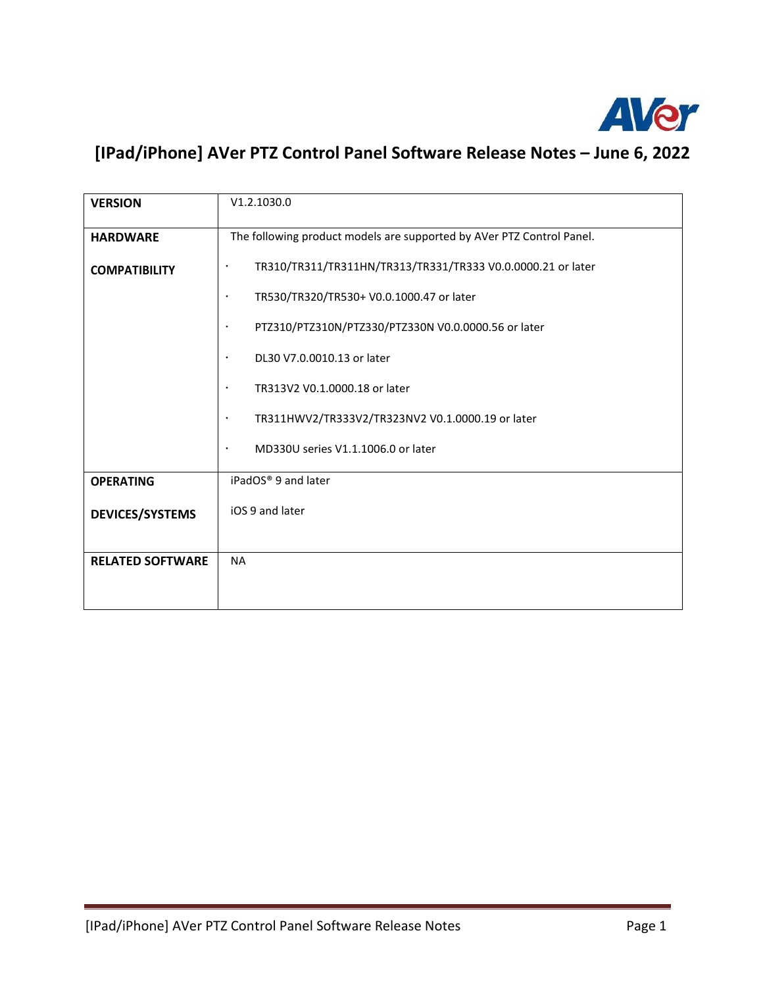

## **[IPad/iPhone] AVer PTZ Control Panel Software Release Notes – June 6, 2022**

| <b>VERSION</b>          | V1.2.1030.0                                                              |
|-------------------------|--------------------------------------------------------------------------|
| <b>HARDWARE</b>         | The following product models are supported by AVer PTZ Control Panel.    |
| <b>COMPATIBILITY</b>    | TR310/TR311/TR311HN/TR313/TR331/TR333 V0.0.0000.21 or later<br>$\bullet$ |
|                         | TR530/TR320/TR530+ V0.0.1000.47 or later<br>$\bullet$                    |
|                         | PTZ310/PTZ310N/PTZ330/PTZ330N V0.0.0000.56 or later<br>$\bullet$         |
|                         | DL30 V7.0.0010.13 or later<br>$\bullet$                                  |
|                         | TR313V2 V0.1.0000.18 or later<br>$\bullet$                               |
|                         | TR311HWV2/TR333V2/TR323NV2 V0.1.0000.19 or later<br>$\bullet$            |
|                         | MD330U series V1.1.1006.0 or later<br>$\bullet$                          |
| <b>OPERATING</b>        | iPadOS <sup>®</sup> 9 and later                                          |
| <b>DEVICES/SYSTEMS</b>  | iOS 9 and later                                                          |
| <b>RELATED SOFTWARE</b> | <b>NA</b>                                                                |
|                         |                                                                          |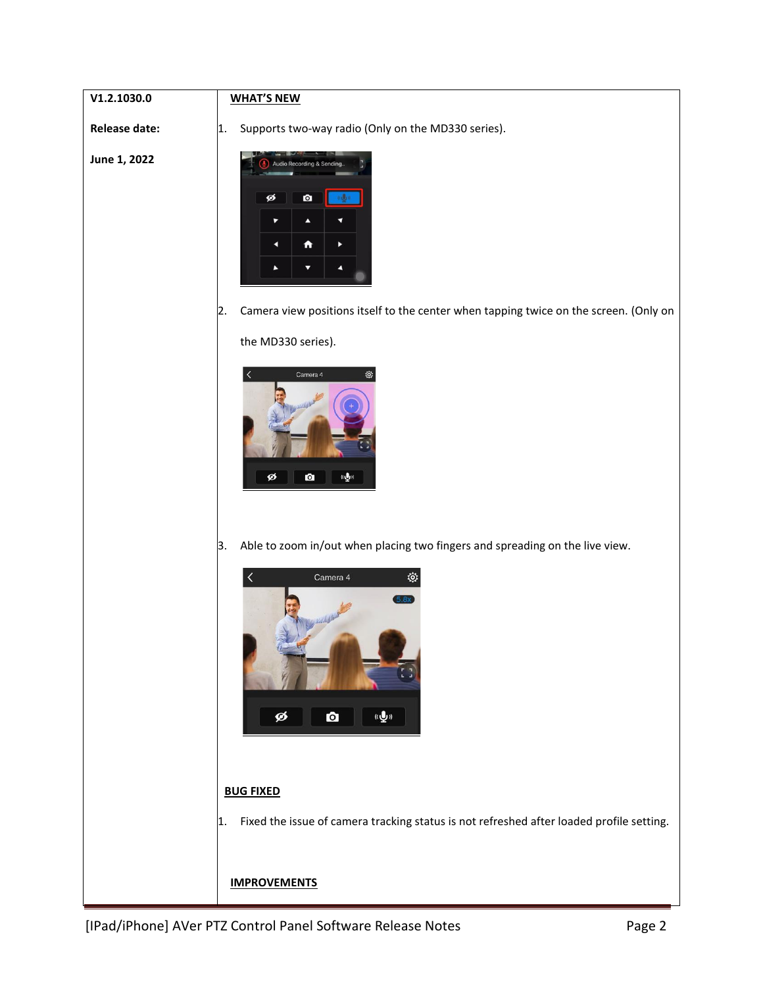## **WHAT'S NEW**

**Release date:**

**V1.2.1030.0**

1. Supports two-way radio (Only on the MD330 series).

**June 1, 2022**



2. Camera view positions itself to the center when tapping twice on the screen. (Only on

the MD330 series).



3. Able to zoom in/out when placing two fingers and spreading on the live view.



## **BUG FIXED**

1. Fixed the issue of camera tracking status is not refreshed after loaded profile setting.

## **IMPROVEMENTS**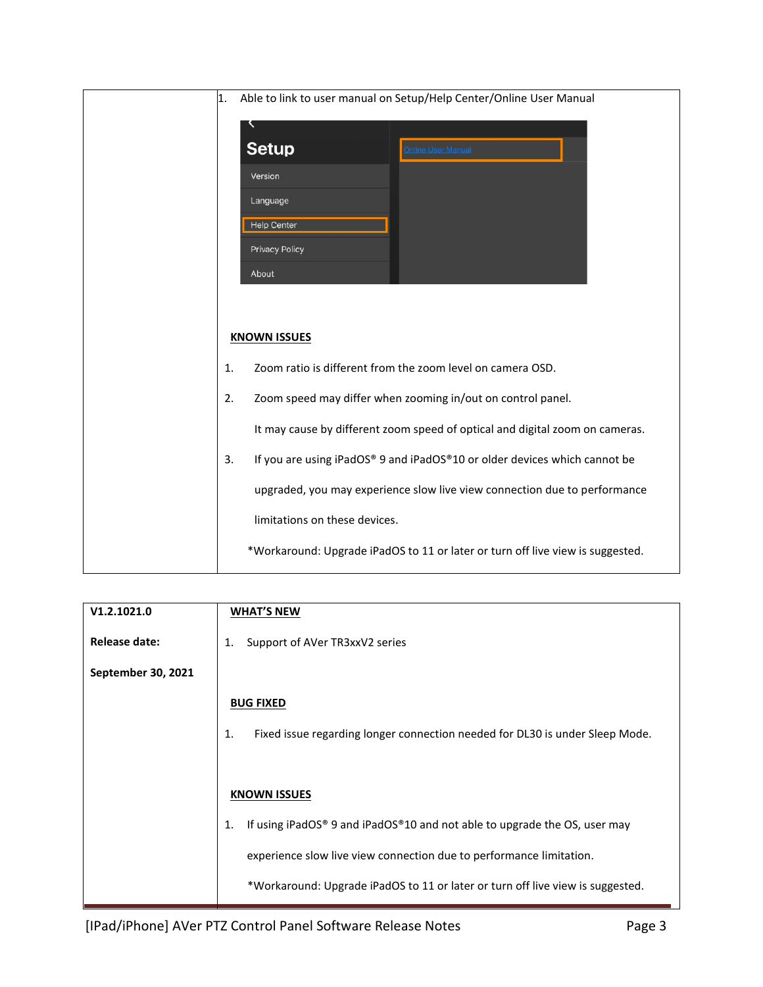| 1. | Able to link to user manual on Setup/Help Center/Online User Manual            |
|----|--------------------------------------------------------------------------------|
|    |                                                                                |
|    | <b>Setup</b><br>Online User Manual                                             |
|    | Version                                                                        |
|    | Language                                                                       |
|    | <b>Help Center</b>                                                             |
|    | <b>Privacy Policy</b>                                                          |
|    | About                                                                          |
|    |                                                                                |
|    |                                                                                |
|    | <b>KNOWN ISSUES</b>                                                            |
| 1. | Zoom ratio is different from the zoom level on camera OSD.                     |
| 2. | Zoom speed may differ when zooming in/out on control panel.                    |
|    | It may cause by different zoom speed of optical and digital zoom on cameras.   |
| 3. | If you are using iPadOS® 9 and iPadOS®10 or older devices which cannot be      |
|    | upgraded, you may experience slow live view connection due to performance      |
|    | limitations on these devices.                                                  |
|    | *Workaround: Upgrade iPadOS to 11 or later or turn off live view is suggested. |

| V1.2.1021.0        | <b>WHAT'S NEW</b>                                                                  |
|--------------------|------------------------------------------------------------------------------------|
| Release date:      | Support of AVer TR3xxV2 series<br>1.                                               |
| September 30, 2021 |                                                                                    |
|                    | <b>BUG FIXED</b>                                                                   |
|                    | 1.<br>Fixed issue regarding longer connection needed for DL30 is under Sleep Mode. |
|                    |                                                                                    |
|                    | <b>KNOWN ISSUES</b>                                                                |
|                    | If using iPadOS® 9 and iPadOS®10 and not able to upgrade the OS, user may<br>1.    |
|                    | experience slow live view connection due to performance limitation.                |
|                    | *Workaround: Upgrade iPadOS to 11 or later or turn off live view is suggested.     |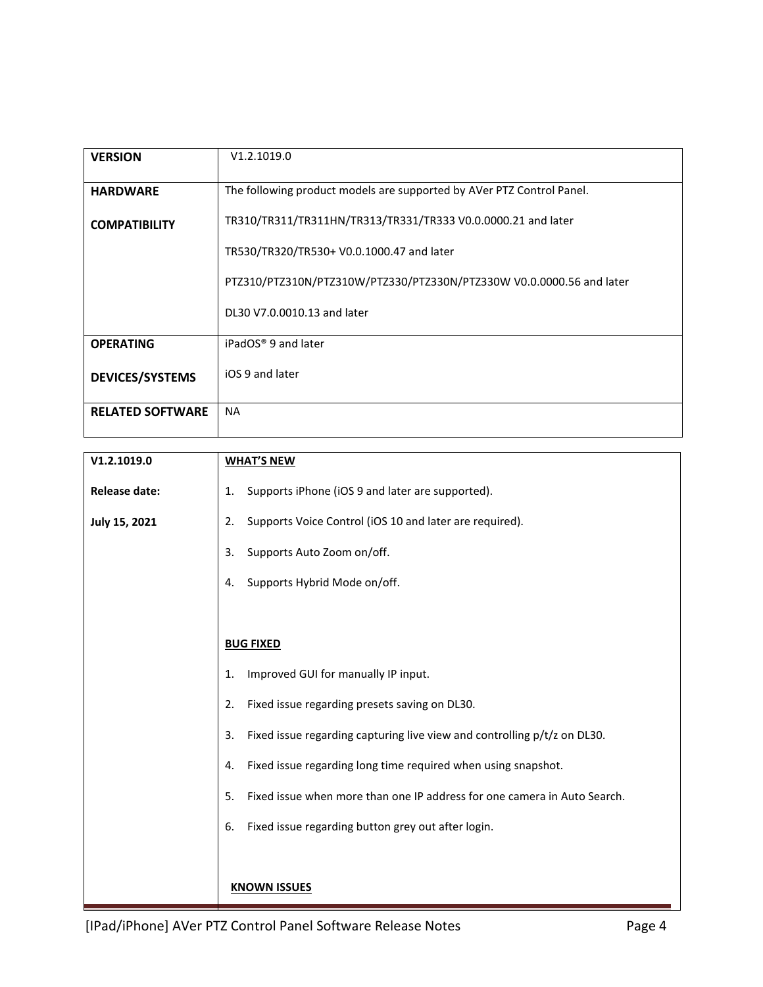| <b>VERSION</b>          | V1.2.1019.0                                                           |
|-------------------------|-----------------------------------------------------------------------|
| <b>HARDWARE</b>         | The following product models are supported by AVer PTZ Control Panel. |
| <b>COMPATIBILITY</b>    | TR310/TR311/TR311HN/TR313/TR331/TR333 V0.0.0000.21 and later          |
|                         | TR530/TR320/TR530+ V0.0.1000.47 and later                             |
|                         | PTZ310/PTZ310N/PTZ310W/PTZ330/PTZ330N/PTZ330W V0.0.0000.56 and later  |
|                         | DL30 V7.0.0010.13 and later                                           |
| <b>OPERATING</b>        | iPadOS <sup>®</sup> 9 and later                                       |
| <b>DEVICES/SYSTEMS</b>  | iOS 9 and later                                                       |
| <b>RELATED SOFTWARE</b> | <b>NA</b>                                                             |
|                         |                                                                       |

| V1.2.1019.0          | <b>WHAT'S NEW</b>                                                              |
|----------------------|--------------------------------------------------------------------------------|
| <b>Release date:</b> | Supports iPhone (iOS 9 and later are supported).<br>1.                         |
| July 15, 2021        | Supports Voice Control (iOS 10 and later are required).<br>2.                  |
|                      | Supports Auto Zoom on/off.<br>3.                                               |
|                      | Supports Hybrid Mode on/off.<br>4.                                             |
|                      |                                                                                |
|                      | <b>BUG FIXED</b>                                                               |
|                      | Improved GUI for manually IP input.<br>1.                                      |
|                      | Fixed issue regarding presets saving on DL30.<br>2.                            |
|                      | Fixed issue regarding capturing live view and controlling p/t/z on DL30.<br>3. |
|                      | Fixed issue regarding long time required when using snapshot.<br>4.            |
|                      | 5.<br>Fixed issue when more than one IP address for one camera in Auto Search. |
|                      | Fixed issue regarding button grey out after login.<br>6.                       |
|                      |                                                                                |
|                      | <b>KNOWN ISSUES</b>                                                            |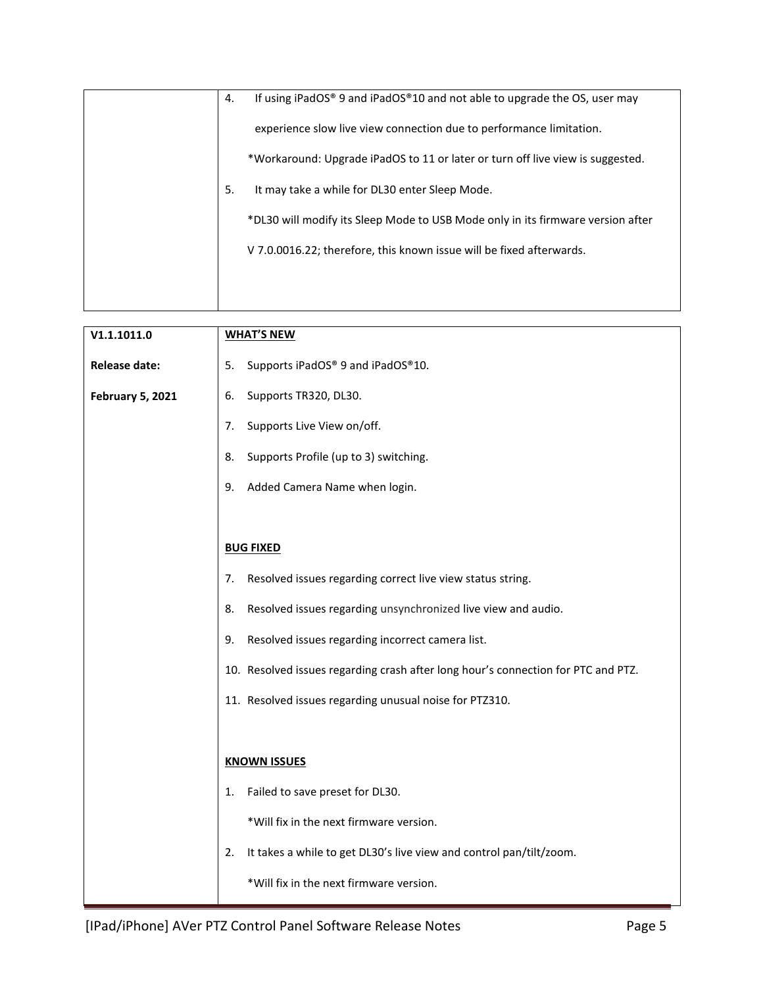|  | 4. | If using iPadOS® 9 and iPadOS®10 and not able to upgrade the OS, user may       |
|--|----|---------------------------------------------------------------------------------|
|  |    | experience slow live view connection due to performance limitation.             |
|  |    | *Workaround: Upgrade iPadOS to 11 or later or turn off live view is suggested.  |
|  | 5. | It may take a while for DL30 enter Sleep Mode.                                  |
|  |    | *DL30 will modify its Sleep Mode to USB Mode only in its firmware version after |
|  |    | V 7.0.0016.22; therefore, this known issue will be fixed afterwards.            |
|  |    |                                                                                 |
|  |    |                                                                                 |

| V1.1.1011.0             | <b>WHAT'S NEW</b>                                                                 |
|-------------------------|-----------------------------------------------------------------------------------|
| <b>Release date:</b>    | Supports iPadOS® 9 and iPadOS®10.<br>5.                                           |
| <b>February 5, 2021</b> | 6.<br>Supports TR320, DL30.                                                       |
|                         | Supports Live View on/off.<br>7.                                                  |
|                         | Supports Profile (up to 3) switching.<br>8.                                       |
|                         | Added Camera Name when login.<br>9.                                               |
|                         |                                                                                   |
|                         | <b>BUG FIXED</b>                                                                  |
|                         | Resolved issues regarding correct live view status string.<br>7.                  |
|                         | Resolved issues regarding unsynchronized live view and audio.<br>8.               |
|                         | Resolved issues regarding incorrect camera list.<br>9.                            |
|                         | 10. Resolved issues regarding crash after long hour's connection for PTC and PTZ. |
|                         | 11. Resolved issues regarding unusual noise for PTZ310.                           |
|                         |                                                                                   |
|                         | <b>KNOWN ISSUES</b>                                                               |
|                         | Failed to save preset for DL30.<br>1.                                             |
|                         | *Will fix in the next firmware version.                                           |
|                         | It takes a while to get DL30's live view and control pan/tilt/zoom.<br>2.         |
|                         | *Will fix in the next firmware version.                                           |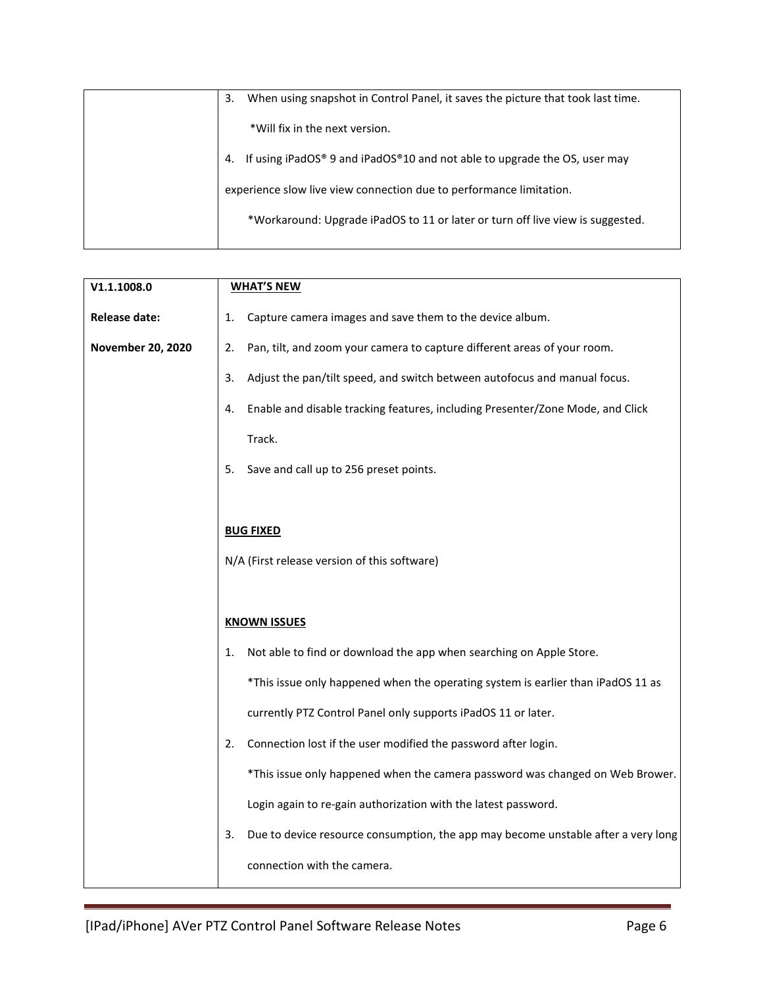| When using snapshot in Control Panel, it saves the picture that took last time.<br>3. |
|---------------------------------------------------------------------------------------|
|                                                                                       |
| *Will fix in the next version.                                                        |
| If using iPadOS® 9 and iPadOS®10 and not able to upgrade the OS, user may<br>4.       |
| experience slow live view connection due to performance limitation.                   |
| *Workaround: Upgrade iPadOS to 11 or later or turn off live view is suggested.        |
|                                                                                       |

| V1.1.1008.0          | <b>WHAT'S NEW</b>                                                                       |
|----------------------|-----------------------------------------------------------------------------------------|
| <b>Release date:</b> | Capture camera images and save them to the device album.<br>1.                          |
| November 20, 2020    | Pan, tilt, and zoom your camera to capture different areas of your room.<br>2.          |
|                      | Adjust the pan/tilt speed, and switch between autofocus and manual focus.<br>3.         |
|                      | Enable and disable tracking features, including Presenter/Zone Mode, and Click<br>4.    |
|                      | Track.                                                                                  |
|                      | 5.<br>Save and call up to 256 preset points.                                            |
|                      |                                                                                         |
|                      | <b>BUG FIXED</b>                                                                        |
|                      | N/A (First release version of this software)                                            |
|                      |                                                                                         |
|                      | <b>KNOWN ISSUES</b>                                                                     |
|                      | Not able to find or download the app when searching on Apple Store.<br>1.               |
|                      | *This issue only happened when the operating system is earlier than iPadOS 11 as        |
|                      | currently PTZ Control Panel only supports iPadOS 11 or later.                           |
|                      | Connection lost if the user modified the password after login.<br>2.                    |
|                      | *This issue only happened when the camera password was changed on Web Brower.           |
|                      | Login again to re-gain authorization with the latest password.                          |
|                      | Due to device resource consumption, the app may become unstable after a very long<br>3. |
|                      | connection with the camera.                                                             |